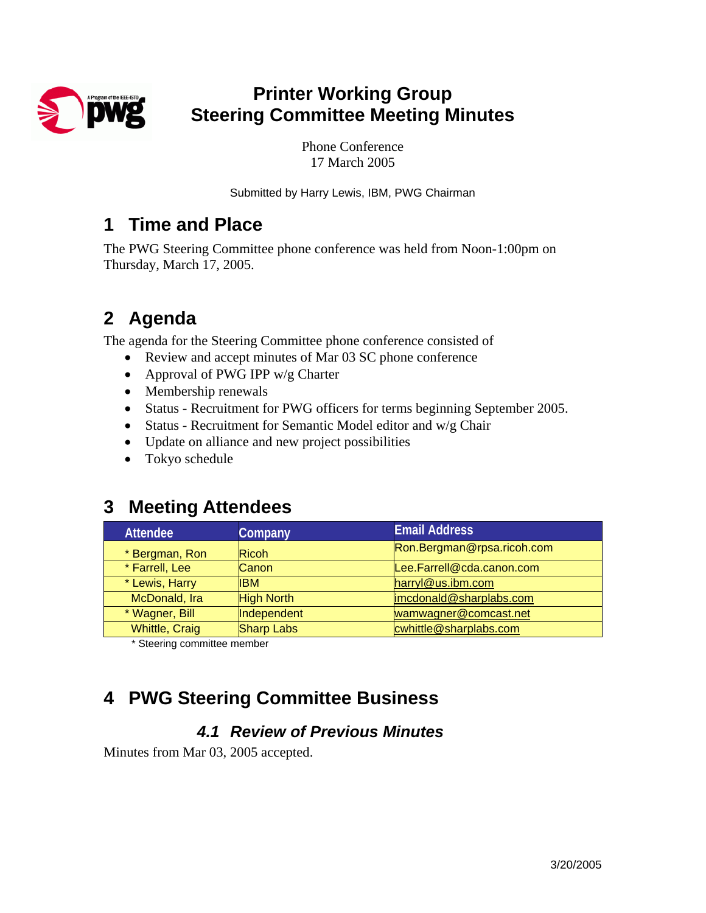

# **Printer Working Group Steering Committee Meeting Minutes**

Phone Conference 17 March 2005

Submitted by Harry Lewis, IBM, PWG Chairman

## **1 Time and Place**

The PWG Steering Committee phone conference was held from Noon-1:00pm on Thursday, March 17, 2005.

# **2 Agenda**

The agenda for the Steering Committee phone conference consisted of

- Review and accept minutes of Mar 03 SC phone conference
- Approval of PWG IPP w/g Charter
- Membership renewals
- Status Recruitment for PWG officers for terms beginning September 2005.
- Status Recruitment for Semantic Model editor and w/g Chair
- Update on alliance and new project possibilities
- Tokyo schedule

# **3 Meeting Attendees**

| <b>Attendee</b>       | Company           | <b>Email Address</b>       |  |
|-----------------------|-------------------|----------------------------|--|
| * Bergman, Ron        | <b>Ricoh</b>      | Ron.Bergman@rpsa.ricoh.com |  |
| * Farrell, Lee        | Canon             | Lee.Farrell@cda.canon.com  |  |
| * Lewis, Harry        | <b>IBM</b>        | harryl@us.ibm.com          |  |
| McDonald, Ira         | <b>High North</b> | imcdonald@sharplabs.com    |  |
| * Wagner, Bill        | Independent       | wamwagner@comcast.net      |  |
| <b>Whittle, Craig</b> | <b>Sharp Labs</b> | cwhittle@sharplabs.com     |  |

\* Steering committee member

# **4 PWG Steering Committee Business**

## *4.1 Review of Previous Minutes*

Minutes from Mar 03, 2005 accepted.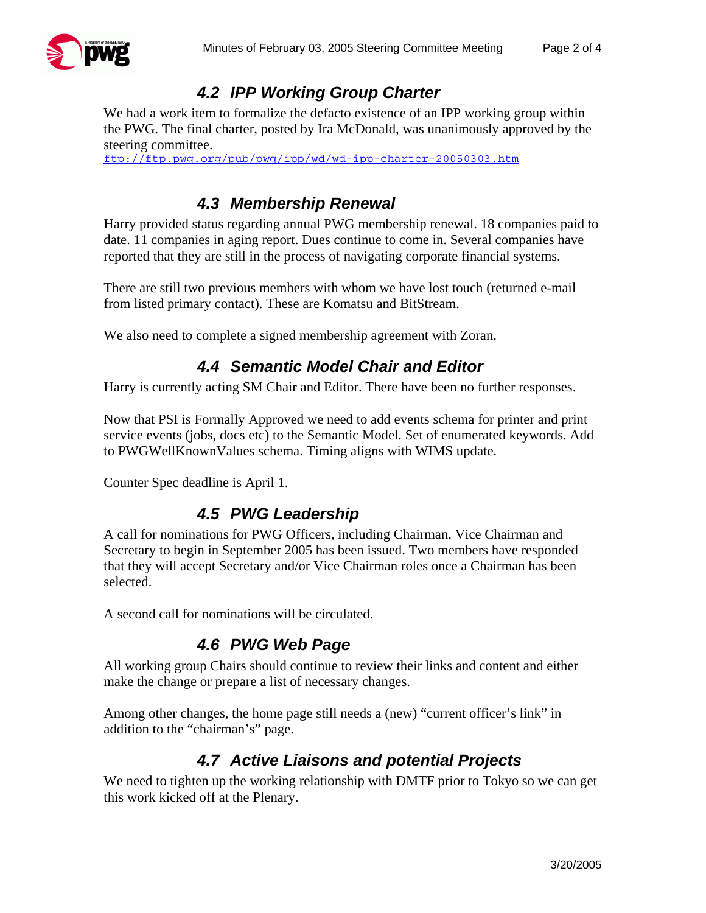

### *4.2 IPP Working Group Charter*

We had a work item to formalize the defacto existence of an IPP working group within the PWG. The final charter, posted by Ira McDonald, was unanimously approved by the steering committee.

<ftp://ftp.pwg.org/pub/pwg/ipp/wd/wd-ipp-charter-20050303.htm>

### *4.3 Membership Renewal*

Harry provided status regarding annual PWG membership renewal. 18 companies paid to date. 11 companies in aging report. Dues continue to come in. Several companies have reported that they are still in the process of navigating corporate financial systems.

There are still two previous members with whom we have lost touch (returned e-mail from listed primary contact). These are Komatsu and BitStream.

We also need to complete a signed membership agreement with Zoran.

#### *4.4 Semantic Model Chair and Editor*

Harry is currently acting SM Chair and Editor. There have been no further responses.

Now that PSI is Formally Approved we need to add events schema for printer and print service events (jobs, docs etc) to the Semantic Model. Set of enumerated keywords. Add to PWGWellKnownValues schema. Timing aligns with WIMS update.

Counter Spec deadline is April 1.

#### *4.5 PWG Leadership*

A call for nominations for PWG Officers, including Chairman, Vice Chairman and Secretary to begin in September 2005 has been issued. Two members have responded that they will accept Secretary and/or Vice Chairman roles once a Chairman has been selected.

A second call for nominations will be circulated.

#### *4.6 PWG Web Page*

All working group Chairs should continue to review their links and content and either make the change or prepare a list of necessary changes.

Among other changes, the home page still needs a (new) "current officer's link" in addition to the "chairman's" page.

#### *4.7 Active Liaisons and potential Projects*

We need to tighten up the working relationship with DMTF prior to Tokyo so we can get this work kicked off at the Plenary.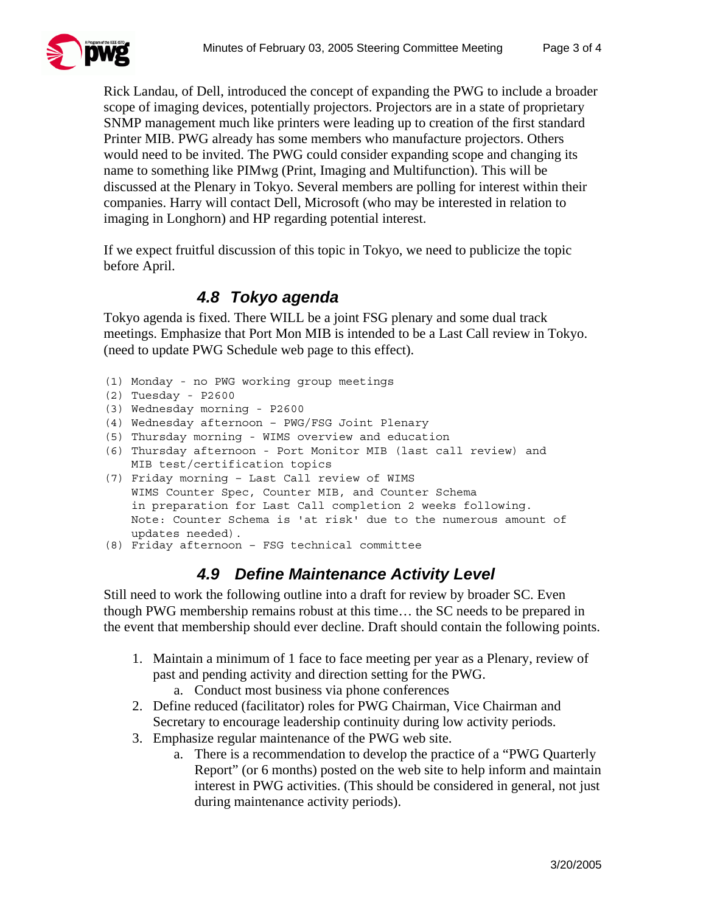

Rick Landau, of Dell, introduced the concept of expanding the PWG to include a broader scope of imaging devices, potentially projectors. Projectors are in a state of proprietary SNMP management much like printers were leading up to creation of the first standard Printer MIB. PWG already has some members who manufacture projectors. Others would need to be invited. The PWG could consider expanding scope and changing its name to something like PIMwg (Print, Imaging and Multifunction). This will be discussed at the Plenary in Tokyo. Several members are polling for interest within their companies. Harry will contact Dell, Microsoft (who may be interested in relation to imaging in Longhorn) and HP regarding potential interest.

If we expect fruitful discussion of this topic in Tokyo, we need to publicize the topic before April.

#### *4.8 Tokyo agenda*

Tokyo agenda is fixed. There WILL be a joint FSG plenary and some dual track meetings. Emphasize that Port Mon MIB is intended to be a Last Call review in Tokyo. (need to update PWG Schedule web page to this effect).

(1) Monday - no PWG working group meetings

```
(2) Tuesday - P2600
```
- (3) Wednesday morning P2600
- (4) Wednesday afternoon PWG/FSG Joint Plenary
- (5) Thursday morning WIMS overview and education

```
(6) Thursday afternoon - Port Monitor MIB (last call review) and 
MIB test/certification topics
```
(7) Friday morning – Last Call review of WIMS WIMS Counter Spec, Counter MIB, and Counter Schema in preparation for Last Call completion 2 weeks following. Note: Counter Schema is 'at risk' due to the numerous amount of updates needed).

```
(8) Friday afternoon – FSG technical committee
```
#### *4.9 Define Maintenance Activity Level*

Still need to work the following outline into a draft for review by broader SC. Even though PWG membership remains robust at this time… the SC needs to be prepared in the event that membership should ever decline. Draft should contain the following points.

- 1. Maintain a minimum of 1 face to face meeting per year as a Plenary, review of past and pending activity and direction setting for the PWG.
	- a. Conduct most business via phone conferences
- 2. Define reduced (facilitator) roles for PWG Chairman, Vice Chairman and Secretary to encourage leadership continuity during low activity periods.
- 3. Emphasize regular maintenance of the PWG web site.
	- a. There is a recommendation to develop the practice of a "PWG Quarterly Report" (or 6 months) posted on the web site to help inform and maintain interest in PWG activities. (This should be considered in general, not just during maintenance activity periods).